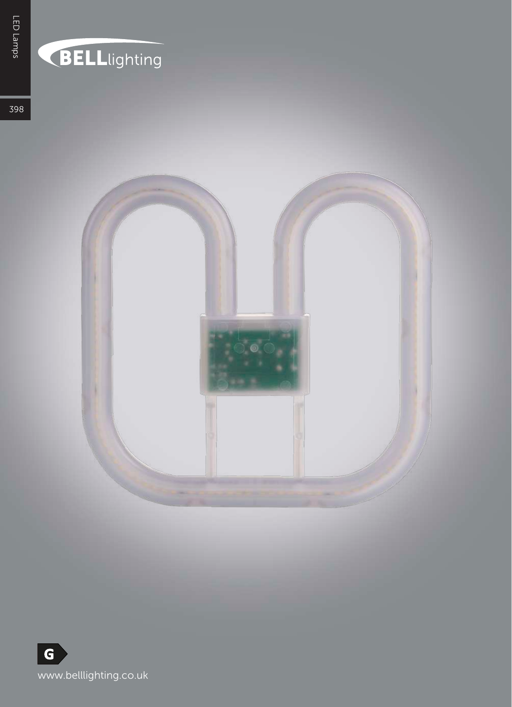## BELLlighting

398